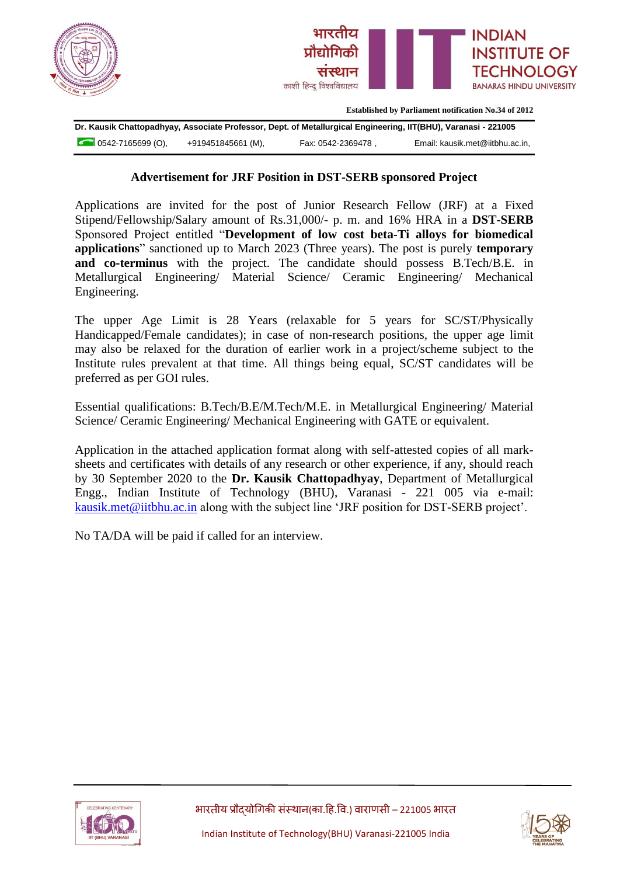



**Established by Parliament notification No.34 of 2012**

**Dr. Kausik Chattopadhyay, Associate Professor, Dept. of Metallurgical Engineering, IIT(BHU), Varanasi - 221005** 0542-7165699 (O), +919451845661 (M), Fax: 0542-2369478 , Email: kausik.met@iitbhu.ac.in,

## **Advertisement for JRF Position in DST-SERB sponsored Project**

Applications are invited for the post of Junior Research Fellow (JRF) at a Fixed Stipend/Fellowship/Salary amount of Rs.31,000/- p. m. and 16% HRA in a **DST-SERB** Sponsored Project entitled "**Development of low cost beta-Ti alloys for biomedical applications**" sanctioned up to March 2023 (Three years). The post is purely **temporary and co-terminus** with the project. The candidate should possess B.Tech/B.E. in Metallurgical Engineering/ Material Science/ Ceramic Engineering/ Mechanical Engineering.

The upper Age Limit is 28 Years (relaxable for 5 years for SC/ST/Physically Handicapped/Female candidates); in case of non-research positions, the upper age limit may also be relaxed for the duration of earlier work in a project/scheme subject to the Institute rules prevalent at that time. All things being equal, SC/ST candidates will be preferred as per GOI rules.

Essential qualifications: B.Tech/B.E/M.Tech/M.E. in Metallurgical Engineering/ Material Science/ Ceramic Engineering/ Mechanical Engineering with GATE or equivalent.

Application in the attached application format along with self-attested copies of all marksheets and certificates with details of any research or other experience, if any, should reach by 30 September 2020 to the **Dr. Kausik Chattopadhyay**, Department of Metallurgical Engg., Indian Institute of Technology (BHU), Varanasi - 221 005 via e-mail: [kausik.met@iitbhu.ac.in](mailto:kausik.met@iitbhu.ac.in) along with the subject line 'JRF position for DST-SERB project'.

No TA/DA will be paid if called for an interview.